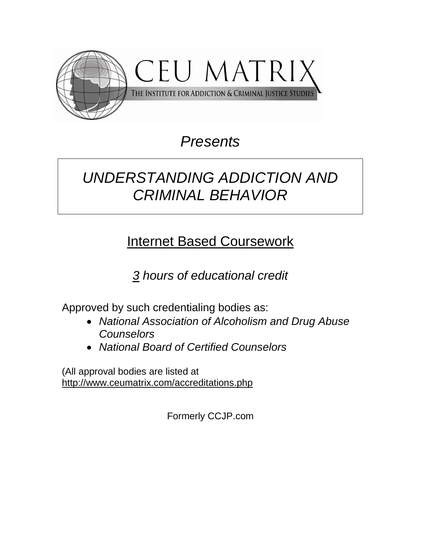

# *Presents*

# *UNDERSTANDING ADDICTION AND CRIMINAL BEHAVIOR*

# Internet Based Coursework

*3 hours of educational credit*

Approved by such credentialing bodies as:

- *National Association of Alcoholism and Drug Abuse Counselors*
- *National Board of Certified Counselors*

(All approval bodies are listed at <http://www.ceumatrix.com/accreditations.php>

Formerly CCJP.com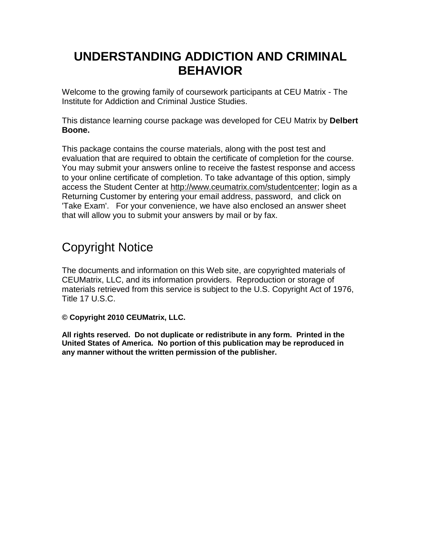# **UNDERSTANDING ADDICTION AND CRIMINAL BEHAVIOR**

Welcome to the growing family of coursework participants at CEU Matrix - The Institute for Addiction and Criminal Justice Studies.

This distance learning course package was developed for CEU Matrix by **Delbert Boone.** 

This package contains the course materials, along with the post test and evaluation that are required to obtain the certificate of completion for the course. You may submit your answers online to receive the fastest response and access to your online certificate of completion. To take advantage of this option, simply access the Student Center at [http://www.ceumatrix.com/studentcenter;](http://www.ceumatrix.com/studentcenter) login as a Returning Customer by entering your email address, password, and click on 'Take Exam'. For your convenience, we have also enclosed an answer sheet that will allow you to submit your answers by mail or by fax.

# Copyright Notice

The documents and information on this Web site, are copyrighted materials of CEUMatrix, LLC, and its information providers. Reproduction or storage of materials retrieved from this service is subject to the U.S. Copyright Act of 1976, Title 17 U.S.C.

**© Copyright 2010 CEUMatrix, LLC.** 

**All rights reserved. Do not duplicate or redistribute in any form. Printed in the United States of America. No portion of this publication may be reproduced in any manner without the written permission of the publisher.**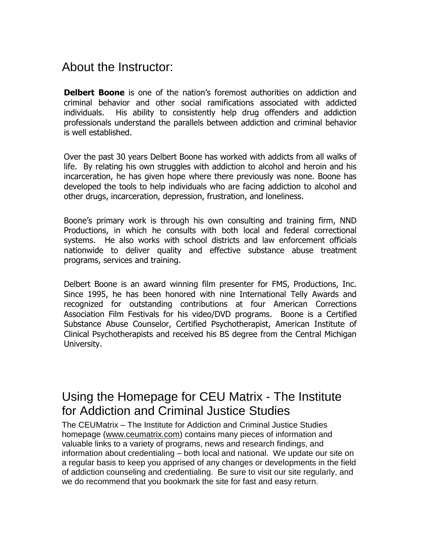## About the Instructor:

**Delbert Boone** is one of the nation's foremost authorities on addiction and criminal behavior and other social ramifications associated with addicted individuals. His ability to consistently help drug offenders and addiction professionals understand the parallels between addiction and criminal behavior is well established.

Over the past 30 years Delbert Boone has worked with addicts from all walks of life. By relating his own struggles with addiction to alcohol and heroin and his incarceration, he has given hope where there previously was none. Boone has developed the tools to help individuals who are facing addiction to alcohol and other drugs, incarceration, depression, frustration, and loneliness.

Boone's primary work is through his own consulting and training firm, NND Productions, in which he consults with both local and federal correctional systems. He also works with school districts and law enforcement officials nationwide to deliver quality and effective substance abuse treatment programs, services and training.

Delbert Boone is an award winning film presenter for FMS, Productions, Inc. Since 1995, he has been honored with nine International Telly Awards and recognized for outstanding contributions at four American Corrections Association Film Festivals for his video/DVD programs. Boone is a Certified Substance Abuse Counselor, Certified Psychotherapist, American Institute of Clinical Psychotherapists and received his BS degree from the Central Michigan University.

# Using the Homepage for CEU Matrix - The Institute for Addiction and Criminal Justice Studies

The CEUMatrix – The Institute for Addiction and Criminal Justice Studies homepage [\(www.ceumatrix.com\)](http://www.ceumatrix.com/) contains many pieces of information and valuable links to a variety of programs, news and research findings, and information about credentialing – both local and national. We update our site on a regular basis to keep you apprised of any changes or developments in the field of addiction counseling and credentialing. Be sure to visit our site regularly, and we do recommend that you bookmark the site for fast and easy return.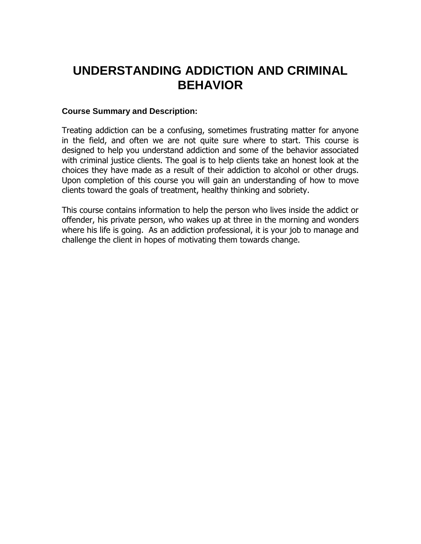# **UNDERSTANDING ADDICTION AND CRIMINAL BEHAVIOR**

#### **Course Summary and Description:**

Treating addiction can be a confusing, sometimes frustrating matter for anyone in the field, and often we are not quite sure where to start. This course is designed to help you understand addiction and some of the behavior associated with criminal justice clients. The goal is to help clients take an honest look at the choices they have made as a result of their addiction to alcohol or other drugs. Upon completion of this course you will gain an understanding of how to move clients toward the goals of treatment, healthy thinking and sobriety.

This course contains information to help the person who lives inside the addict or offender, his private person, who wakes up at three in the morning and wonders where his life is going. As an addiction professional, it is your job to manage and challenge the client in hopes of motivating them towards change.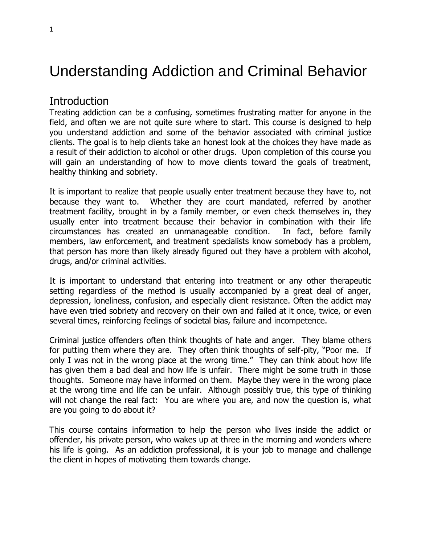# Understanding Addiction and Criminal Behavior

## Introduction

Treating addiction can be a confusing, sometimes frustrating matter for anyone in the field, and often we are not quite sure where to start. This course is designed to help you understand addiction and some of the behavior associated with criminal justice clients. The goal is to help clients take an honest look at the choices they have made as a result of their addiction to alcohol or other drugs. Upon completion of this course you will gain an understanding of how to move clients toward the goals of treatment, healthy thinking and sobriety.

It is important to realize that people usually enter treatment because they have to, not because they want to. Whether they are court mandated, referred by another treatment facility, brought in by a family member, or even check themselves in, they usually enter into treatment because their behavior in combination with their life circumstances has created an unmanageable condition. In fact, before family members, law enforcement, and treatment specialists know somebody has a problem, that person has more than likely already figured out they have a problem with alcohol, drugs, and/or criminal activities.

It is important to understand that entering into treatment or any other therapeutic setting regardless of the method is usually accompanied by a great deal of anger, depression, loneliness, confusion, and especially client resistance. Often the addict may have even tried sobriety and recovery on their own and failed at it once, twice, or even several times, reinforcing feelings of societal bias, failure and incompetence.

Criminal justice offenders often think thoughts of hate and anger. They blame others for putting them where they are. They often think thoughts of self-pity, "Poor me. If only I was not in the wrong place at the wrong time." They can think about how life has given them a bad deal and how life is unfair. There might be some truth in those thoughts. Someone may have informed on them. Maybe they were in the wrong place at the wrong time and life can be unfair. Although possibly true, this type of thinking will not change the real fact: You are where you are, and now the question is, what are you going to do about it?

This course contains information to help the person who lives inside the addict or offender, his private person, who wakes up at three in the morning and wonders where his life is going. As an addiction professional, it is your job to manage and challenge the client in hopes of motivating them towards change.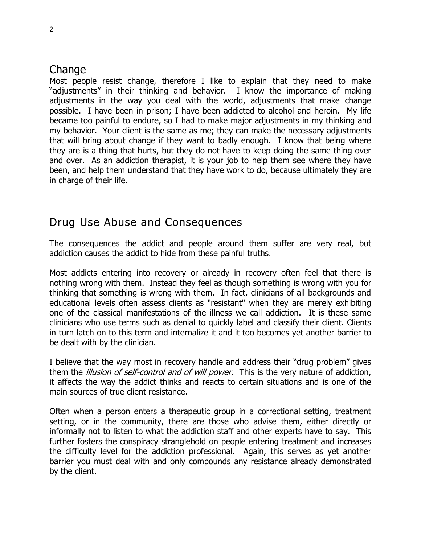## **Change**

Most people resist change, therefore I like to explain that they need to make "adjustments" in their thinking and behavior. I know the importance of making adjustments in the way you deal with the world, adjustments that make change possible. I have been in prison; I have been addicted to alcohol and heroin. My life became too painful to endure, so I had to make major adjustments in my thinking and my behavior. Your client is the same as me; they can make the necessary adjustments that will bring about change if they want to badly enough. I know that being where they are is a thing that hurts, but they do not have to keep doing the same thing over and over. As an addiction therapist, it is your job to help them see where they have been, and help them understand that they have work to do, because ultimately they are in charge of their life.

## Drug Use Abuse and Consequences

The consequences the addict and people around them suffer are very real, but addiction causes the addict to hide from these painful truths.

Most addicts entering into recovery or already in recovery often feel that there is nothing wrong with them. Instead they feel as though something is wrong with you for thinking that something is wrong with them. In fact, clinicians of all backgrounds and educational levels often assess clients as "resistant" when they are merely exhibiting one of the classical manifestations of the illness we call addiction. It is these same clinicians who use terms such as denial to quickly label and classify their client. Clients in turn latch on to this term and internalize it and it too becomes yet another barrier to be dealt with by the clinician.

I believe that the way most in recovery handle and address their "drug problem" gives them the *illusion of self-control and of will power*. This is the very nature of addiction, it affects the way the addict thinks and reacts to certain situations and is one of the main sources of true client resistance.

Often when a person enters a therapeutic group in a correctional setting, treatment setting, or in the community, there are those who advise them, either directly or informally not to listen to what the addiction staff and other experts have to say. This further fosters the conspiracy stranglehold on people entering treatment and increases the difficulty level for the addiction professional. Again, this serves as yet another barrier you must deal with and only compounds any resistance already demonstrated by the client.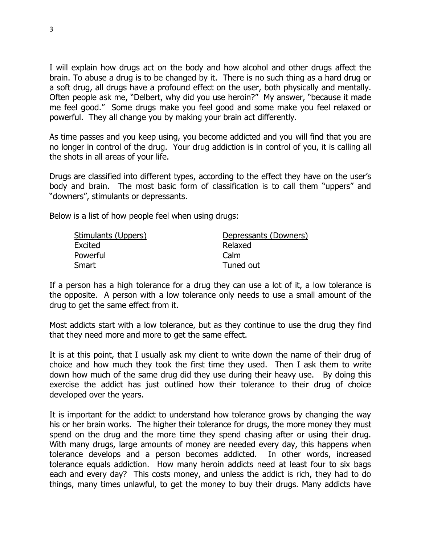I will explain how drugs act on the body and how alcohol and other drugs affect the brain. To abuse a drug is to be changed by it. There is no such thing as a hard drug or a soft drug, all drugs have a profound effect on the user, both physically and mentally. Often people ask me, "Delbert, why did you use heroin?" My answer, "because it made me feel good." Some drugs make you feel good and some make you feel relaxed or powerful. They all change you by making your brain act differently.

As time passes and you keep using, you become addicted and you will find that you are no longer in control of the drug. Your drug addiction is in control of you, it is calling all the shots in all areas of your life.

Drugs are classified into different types, according to the effect they have on the user's body and brain. The most basic form of classification is to call them "uppers" and "downers", stimulants or depressants.

Below is a list of how people feel when using drugs:

| Stimulants (Uppers) | Depressants (Downers) |  |  |  |
|---------------------|-----------------------|--|--|--|
| Excited             | Relaxed               |  |  |  |
| Powerful            | Calm                  |  |  |  |
| Smart               | Tuned out             |  |  |  |

If a person has a high tolerance for a drug they can use a lot of it, a low tolerance is the opposite. A person with a low tolerance only needs to use a small amount of the drug to get the same effect from it.

Most addicts start with a low tolerance, but as they continue to use the drug they find that they need more and more to get the same effect.

It is at this point, that I usually ask my client to write down the name of their drug of choice and how much they took the first time they used. Then I ask them to write down how much of the same drug did they use during their heavy use. By doing this exercise the addict has just outlined how their tolerance to their drug of choice developed over the years.

It is important for the addict to understand how tolerance grows by changing the way his or her brain works. The higher their tolerance for drugs, the more money they must spend on the drug and the more time they spend chasing after or using their drug. With many drugs, large amounts of money are needed every day, this happens when tolerance develops and a person becomes addicted. In other words, increased tolerance equals addiction. How many heroin addicts need at least four to six bags each and every day? This costs money, and unless the addict is rich, they had to do things, many times unlawful, to get the money to buy their drugs. Many addicts have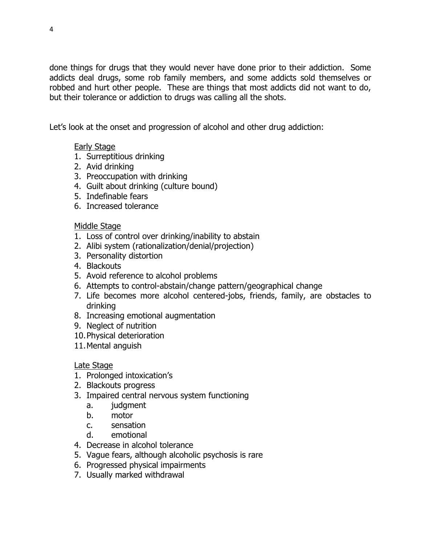done things for drugs that they would never have done prior to their addiction. Some addicts deal drugs, some rob family members, and some addicts sold themselves or robbed and hurt other people. These are things that most addicts did not want to do, but their tolerance or addiction to drugs was calling all the shots.

Let's look at the onset and progression of alcohol and other drug addiction:

#### Early Stage

- 1. Surreptitious drinking
- 2. Avid drinking
- 3. Preoccupation with drinking
- 4. Guilt about drinking (culture bound)
- 5. Indefinable fears
- 6. Increased tolerance

#### Middle Stage

- 1. Loss of control over drinking/inability to abstain
- 2. Alibi system (rationalization/denial/projection)
- 3. Personality distortion
- 4. Blackouts
- 5. Avoid reference to alcohol problems
- 6. Attempts to control-abstain/change pattern/geographical change
- 7. Life becomes more alcohol centered-jobs, friends, family, are obstacles to drinking
- 8. Increasing emotional augmentation
- 9. Neglect of nutrition
- 10.Physical deterioration
- 11.Mental anguish

### Late Stage

- 1. Prolonged intoxication's
- 2. Blackouts progress
- 3. Impaired central nervous system functioning
	- a. judgment
	- b. motor
	- c. sensation
	- d. emotional
- 4. Decrease in alcohol tolerance
- 5. Vague fears, although alcoholic psychosis is rare
- 6. Progressed physical impairments
- 7. Usually marked withdrawal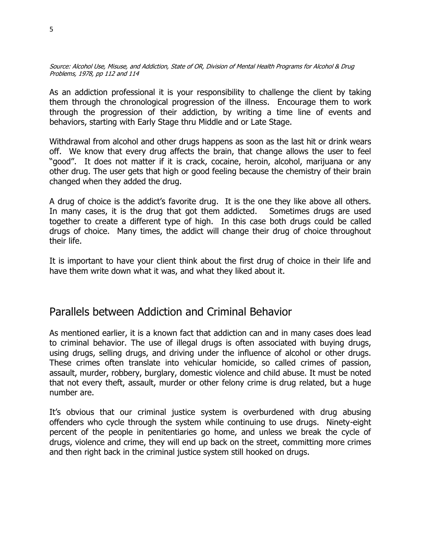Source: Alcohol Use, Misuse, and Addiction, State of OR, Division of Mental Health Programs for Alcohol & Drug Problems, 1978, pp 112 and 114

As an addiction professional it is your responsibility to challenge the client by taking them through the chronological progression of the illness. Encourage them to work through the progression of their addiction, by writing a time line of events and behaviors, starting with Early Stage thru Middle and or Late Stage.

Withdrawal from alcohol and other drugs happens as soon as the last hit or drink wears off. We know that every drug affects the brain, that change allows the user to feel "good". It does not matter if it is crack, cocaine, heroin, alcohol, marijuana or any other drug. The user gets that high or good feeling because the chemistry of their brain changed when they added the drug.

A drug of choice is the addict's favorite drug. It is the one they like above all others. In many cases, it is the drug that got them addicted. Sometimes drugs are used together to create a different type of high. In this case both drugs could be called drugs of choice. Many times, the addict will change their drug of choice throughout their life.

It is important to have your client think about the first drug of choice in their life and have them write down what it was, and what they liked about it.

## Parallels between Addiction and Criminal Behavior

As mentioned earlier, it is a known fact that addiction can and in many cases does lead to criminal behavior. The use of illegal drugs is often associated with buying drugs, using drugs, selling drugs, and driving under the influence of alcohol or other drugs. These crimes often translate into vehicular homicide, so called crimes of passion, assault, murder, robbery, burglary, domestic violence and child abuse. It must be noted that not every theft, assault, murder or other felony crime is drug related, but a huge number are.

It's obvious that our criminal justice system is overburdened with drug abusing offenders who cycle through the system while continuing to use drugs. Ninety-eight percent of the people in penitentiaries go home, and unless we break the cycle of drugs, violence and crime, they will end up back on the street, committing more crimes and then right back in the criminal justice system still hooked on drugs.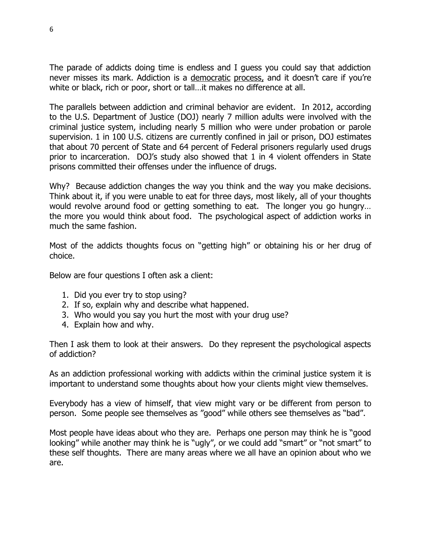The parade of addicts doing time is endless and I guess you could say that addiction never misses its mark. Addiction is a democratic process, and it doesn't care if you're white or black, rich or poor, short or tall…it makes no difference at all.

The parallels between addiction and criminal behavior are evident. In 2012, according to the U.S. Department of Justice (DOJ) nearly 7 million adults were involved with the criminal justice system, including nearly 5 million who were under probation or parole supervision. 1 in 100 U.S. citizens are currently confined in jail or prison, DOJ estimates that about 70 percent of State and 64 percent of Federal prisoners regularly used drugs prior to incarceration. DOJ's study also showed that 1 in 4 violent offenders in State prisons committed their offenses under the influence of drugs.

Why? Because addiction changes the way you think and the way you make decisions. Think about it, if you were unable to eat for three days, most likely, all of your thoughts would revolve around food or getting something to eat. The longer you go hungry… the more you would think about food. The psychological aspect of addiction works in much the same fashion.

Most of the addicts thoughts focus on "getting high" or obtaining his or her drug of choice.

Below are four questions I often ask a client:

- 1. Did you ever try to stop using?
- 2. If so, explain why and describe what happened.
- 3. Who would you say you hurt the most with your drug use?
- 4. Explain how and why.

Then I ask them to look at their answers. Do they represent the psychological aspects of addiction?

As an addiction professional working with addicts within the criminal justice system it is important to understand some thoughts about how your clients might view themselves.

Everybody has a view of himself, that view might vary or be different from person to person. Some people see themselves as "good" while others see themselves as "bad".

Most people have ideas about who they are. Perhaps one person may think he is "good looking" while another may think he is "ugly", or we could add "smart" or "not smart" to these self thoughts. There are many areas where we all have an opinion about who we are.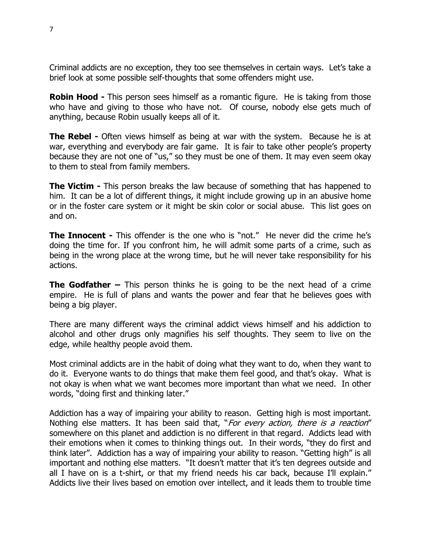Criminal addicts are no exception, they too see themselves in certain ways. Let's take a brief look at some possible self-thoughts that some offenders might use.

**Robin Hood -** This person sees himself as a romantic figure. He is taking from those who have and giving to those who have not. Of course, nobody else gets much of anything, because Robin usually keeps all of it.

**The Rebel -** Often views himself as being at war with the system. Because he is at war, everything and everybody are fair game. It is fair to take other people's property because they are not one of "us," so they must be one of them. It may even seem okay to them to steal from family members.

**The Victim -** This person breaks the law because of something that has happened to him. It can be a lot of different things, it might include growing up in an abusive home or in the foster care system or it might be skin color or social abuse. This list goes on and on.

**The Innocent -** This offender is the one who is "not." He never did the crime he's doing the time for. If you confront him, he will admit some parts of a crime, such as being in the wrong place at the wrong time, but he will never take responsibility for his actions.

**The Godfather –** This person thinks he is going to be the next head of a crime empire. He is full of plans and wants the power and fear that he believes goes with being a big player.

There are many different ways the criminal addict views himself and his addiction to alcohol and other drugs only magnifies his self thoughts. They seem to live on the edge, while healthy people avoid them.

Most criminal addicts are in the habit of doing what they want to do, when they want to do it. Everyone wants to do things that make them feel good, and that's okay. What is not okay is when what we want becomes more important than what we need. In other words, "doing first and thinking later."

Addiction has a way of impairing your ability to reason. Getting high is most important. Nothing else matters. It has been said that, "For every action, there is a reaction" somewhere on this planet and addiction is no different in that regard. Addicts lead with their emotions when it comes to thinking things out. In their words, "they do first and think later". Addiction has a way of impairing your ability to reason. "Getting high" is all important and nothing else matters. "It doesn't matter that it's ten degrees outside and all I have on is a t-shirt, or that my friend needs his car back, because I'll explain." Addicts live their lives based on emotion over intellect, and it leads them to trouble time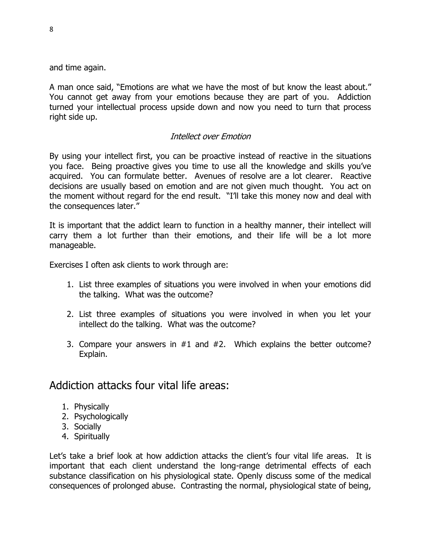and time again.

A man once said, "Emotions are what we have the most of but know the least about." You cannot get away from your emotions because they are part of you. Addiction turned your intellectual process upside down and now you need to turn that process right side up.

#### Intellect over Emotion

By using your intellect first, you can be proactive instead of reactive in the situations you face. Being proactive gives you time to use all the knowledge and skills you've acquired. You can formulate better. Avenues of resolve are a lot clearer. Reactive decisions are usually based on emotion and are not given much thought. You act on the moment without regard for the end result. "I'll take this money now and deal with the consequences later."

It is important that the addict learn to function in a healthy manner, their intellect will carry them a lot further than their emotions, and their life will be a lot more manageable.

Exercises I often ask clients to work through are:

- 1. List three examples of situations you were involved in when your emotions did the talking. What was the outcome?
- 2. List three examples of situations you were involved in when you let your intellect do the talking. What was the outcome?
- 3. Compare your answers in #1 and #2. Which explains the better outcome? Explain.

## Addiction attacks four vital life areas:

- 1. Physically
- 2. Psychologically
- 3. Socially
- 4. Spiritually

Let's take a brief look at how addiction attacks the client's four vital life areas. It is important that each client understand the long-range detrimental effects of each substance classification on his physiological state. Openly discuss some of the medical consequences of prolonged abuse. Contrasting the normal, physiological state of being,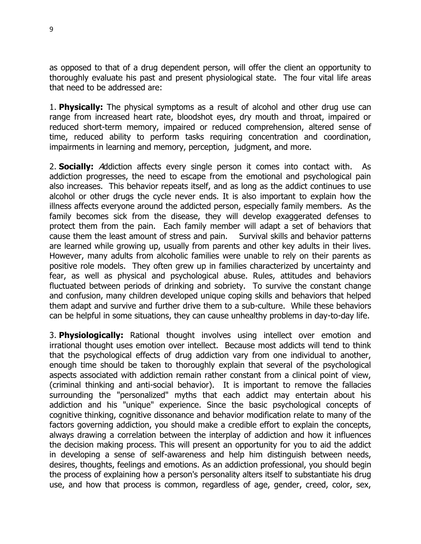as opposed to that of a drug dependent person, will offer the client an opportunity to thoroughly evaluate his past and present physiological state. The four vital life areas that need to be addressed are:

1. **Physically:** The physical symptoms as a result of alcohol and other drug use can range from increased heart rate, bloodshot eyes, dry mouth and throat, impaired or reduced short-term memory, impaired or reduced comprehension, altered sense of time, reduced ability to perform tasks requiring concentration and coordination, impairments in learning and memory, perception, judgment, and more.

2. **Socially:** Addiction affects every single person it comes into contact with. As addiction progresses, the need to escape from the emotional and psychological pain also increases. This behavior repeats itself, and as long as the addict continues to use alcohol or other drugs the cycle never ends. It is also important to explain how the illness affects everyone around the addicted person, especially family members. As the family becomes sick from the disease, they will develop exaggerated defenses to protect them from the pain. Each family member will adapt a set of behaviors that cause them the least amount of stress and pain. Survival skills and behavior patterns are learned while growing up, usually from parents and other key adults in their lives. However, many adults from alcoholic families were unable to rely on their parents as positive role models. They often grew up in families characterized by uncertainty and fear, as well as physical and psychological abuse. Rules, attitudes and behaviors fluctuated between periods of drinking and sobriety. To survive the constant change and confusion, many children developed unique coping skills and behaviors that helped them adapt and survive and further drive them to a sub-culture. While these behaviors can be helpful in some situations, they can cause unhealthy problems in day-to-day life.

3. **Physiologically:** Rational thought involves using intellect over emotion and irrational thought uses emotion over intellect. Because most addicts will tend to think that the psychological effects of drug addiction vary from one individual to another, enough time should be taken to thoroughly explain that several of the psychological aspects associated with addiction remain rather constant from a clinical point of view, (criminal thinking and anti-social behavior). It is important to remove the fallacies surrounding the "personalized" myths that each addict may entertain about his addiction and his "unique" experience. Since the basic psychological concepts of cognitive thinking, cognitive dissonance and behavior modification relate to many of the factors governing addiction, you should make a credible effort to explain the concepts, always drawing a correlation between the interplay of addiction and how it influences the decision making process. This will present an opportunity for you to aid the addict in developing a sense of self-awareness and help him distinguish between needs, desires, thoughts, feelings and emotions. As an addiction professional, you should begin the process of explaining how a person's personality alters itself to substantiate his drug use, and how that process is common, regardless of age, gender, creed, color, sex,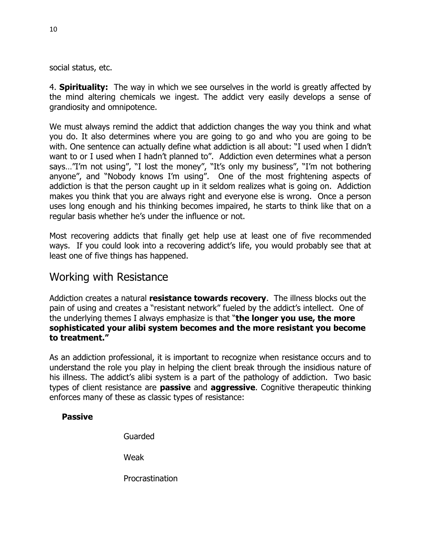social status, etc.

4. **Spirituality:** The way in which we see ourselves in the world is greatly affected by the mind altering chemicals we ingest. The addict very easily develops a sense of grandiosity and omnipotence.

We must always remind the addict that addiction changes the way you think and what you do. It also determines where you are going to go and who you are going to be with. One sentence can actually define what addiction is all about: "I used when I didn't want to or I used when I hadn't planned to". Addiction even determines what a person says…"I'm not using", "I lost the money", "It's only my business", "I'm not bothering anyone", and "Nobody knows I'm using". One of the most frightening aspects of addiction is that the person caught up in it seldom realizes what is going on. Addiction makes you think that you are always right and everyone else is wrong. Once a person uses long enough and his thinking becomes impaired, he starts to think like that on a regular basis whether he's under the influence or not.

Most recovering addicts that finally get help use at least one of five recommended ways. If you could look into a recovering addict's life, you would probably see that at least one of five things has happened.

## Working with Resistance

Addiction creates a natural **resistance towards recovery**. The illness blocks out the pain of using and creates a "resistant network" fueled by the addict's intellect. One of the underlying themes I always emphasize is that "**the longer you use, the more sophisticated your alibi system becomes and the more resistant you become to treatment."** 

As an addiction professional, it is important to recognize when resistance occurs and to understand the role you play in helping the client break through the insidious nature of his illness. The addict's alibi system is a part of the pathology of addiction. Two basic types of client resistance are **passive** and **aggressive**. Cognitive therapeutic thinking enforces many of these as classic types of resistance:

#### **Passive**

Guarded

Weak

Procrastination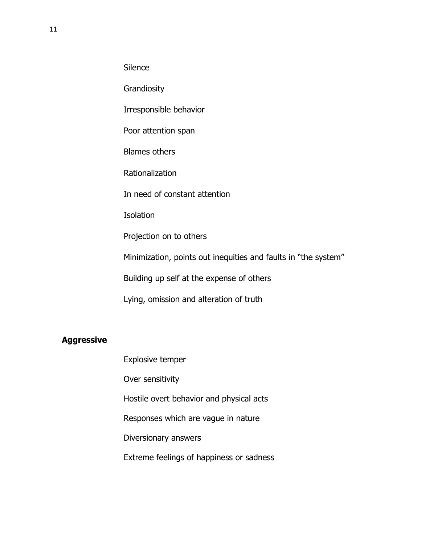**Silence** 

**Grandiosity** 

Irresponsible behavior

Poor attention span

Blames others

Rationalization

In need of constant attention

**Isolation** 

Projection on to others

Minimization, points out inequities and faults in "the system"

Building up self at the expense of others

Lying, omission and alteration of truth

#### **Aggressive**

Explosive temper Over sensitivity Hostile overt behavior and physical acts Responses which are vague in nature Diversionary answers Extreme feelings of happiness or sadness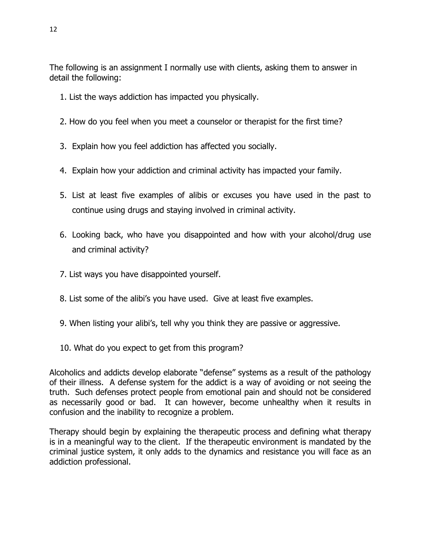The following is an assignment I normally use with clients, asking them to answer in detail the following:

- 1. List the ways addiction has impacted you physically.
- 2. How do you feel when you meet a counselor or therapist for the first time?
- 3. Explain how you feel addiction has affected you socially.
- 4. Explain how your addiction and criminal activity has impacted your family.
- 5. List at least five examples of alibis or excuses you have used in the past to continue using drugs and staying involved in criminal activity.
- 6. Looking back, who have you disappointed and how with your alcohol/drug use and criminal activity?
- 7. List ways you have disappointed yourself.
- 8. List some of the alibi's you have used. Give at least five examples.
- 9. When listing your alibi's, tell why you think they are passive or aggressive.
- 10. What do you expect to get from this program?

Alcoholics and addicts develop elaborate "defense" systems as a result of the pathology of their illness. A defense system for the addict is a way of avoiding or not seeing the truth. Such defenses protect people from emotional pain and should not be considered as necessarily good or bad. It can however, become unhealthy when it results in confusion and the inability to recognize a problem.

Therapy should begin by explaining the therapeutic process and defining what therapy is in a meaningful way to the client. If the therapeutic environment is mandated by the criminal justice system, it only adds to the dynamics and resistance you will face as an addiction professional.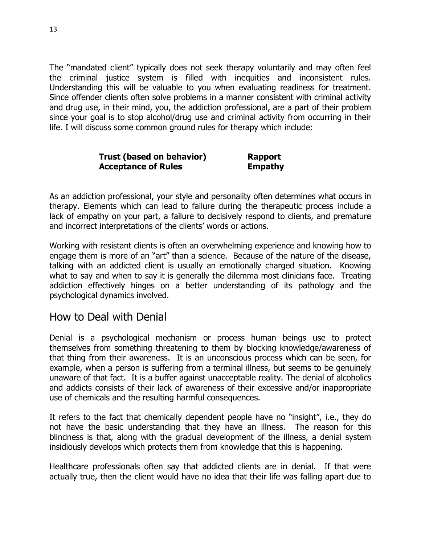The "mandated client" typically does not seek therapy voluntarily and may often feel the criminal justice system is filled with inequities and inconsistent rules. Understanding this will be valuable to you when evaluating readiness for treatment. Since offender clients often solve problems in a manner consistent with criminal activity and drug use, in their mind, you, the addiction professional, are a part of their problem since your goal is to stop alcohol/drug use and criminal activity from occurring in their life. I will discuss some common ground rules for therapy which include:

| Trust (based on behavior)  | <b>Rapport</b> |
|----------------------------|----------------|
| <b>Acceptance of Rules</b> | <b>Empathy</b> |

As an addiction professional, your style and personality often determines what occurs in therapy. Elements which can lead to failure during the therapeutic process include a lack of empathy on your part, a failure to decisively respond to clients, and premature and incorrect interpretations of the clients' words or actions.

Working with resistant clients is often an overwhelming experience and knowing how to engage them is more of an "art" than a science. Because of the nature of the disease, talking with an addicted client is usually an emotionally charged situation. Knowing what to say and when to say it is generally the dilemma most clinicians face. Treating addiction effectively hinges on a better understanding of its pathology and the psychological dynamics involved.

## How to Deal with Denial

Denial is a psychological mechanism or process human beings use to protect themselves from something threatening to them by blocking knowledge/awareness of that thing from their awareness. It is an unconscious process which can be seen, for example, when a person is suffering from a terminal illness, but seems to be genuinely unaware of that fact. It is a buffer against unacceptable reality. The denial of alcoholics and addicts consists of their lack of awareness of their excessive and/or inappropriate use of chemicals and the resulting harmful consequences.

It refers to the fact that chemically dependent people have no "insight", i.e., they do not have the basic understanding that they have an illness. The reason for this blindness is that, along with the gradual development of the illness, a denial system insidiously develops which protects them from knowledge that this is happening.

Healthcare professionals often say that addicted clients are in denial. If that were actually true, then the client would have no idea that their life was falling apart due to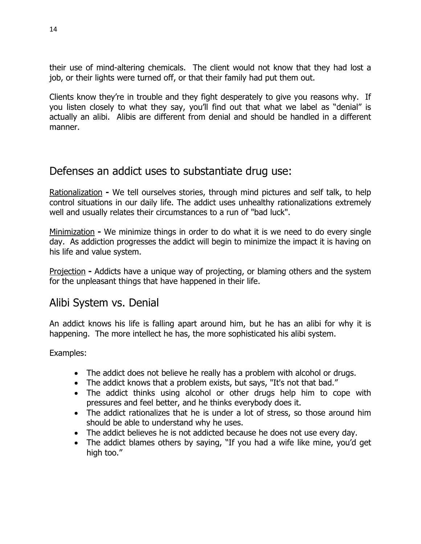their use of mind-altering chemicals. The client would not know that they had lost a job, or their lights were turned off, or that their family had put them out.

Clients know they're in trouble and they fight desperately to give you reasons why. If you listen closely to what they say, you'll find out that what we label as "denial" is actually an alibi. Alibis are different from denial and should be handled in a different manner.

## Defenses an addict uses to substantiate drug use:

Rationalization **-** We tell ourselves stories, through mind pictures and self talk, to help control situations in our daily life. The addict uses unhealthy rationalizations extremely well and usually relates their circumstances to a run of "bad luck".

Minimization **-** We minimize things in order to do what it is we need to do every single day. As addiction progresses the addict will begin to minimize the impact it is having on his life and value system.

Projection **-** Addicts have a unique way of projecting, or blaming others and the system for the unpleasant things that have happened in their life.

## Alibi System vs. Denial

An addict knows his life is falling apart around him, but he has an alibi for why it is happening. The more intellect he has, the more sophisticated his alibi system.

#### Examples:

- The addict does not believe he really has a problem with alcohol or drugs.
- The addict knows that a problem exists, but says, "It's not that bad."
- The addict thinks using alcohol or other drugs help him to cope with pressures and feel better, and he thinks everybody does it.
- The addict rationalizes that he is under a lot of stress, so those around him should be able to understand why he uses.
- The addict believes he is not addicted because he does not use every day.
- The addict blames others by saying, "If you had a wife like mine, you'd get high too."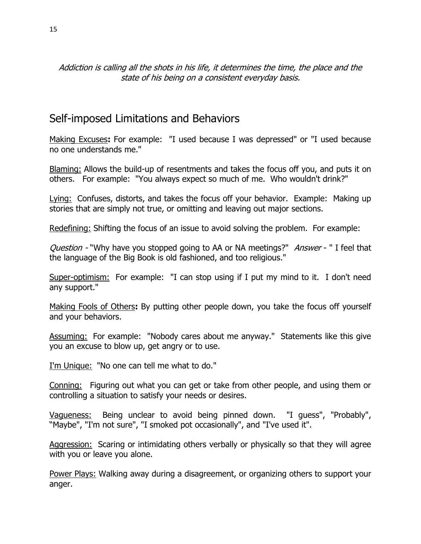#### Addiction is calling all the shots in his life, it determines the time, the place and the state of his being on a consistent everyday basis.

## Self-imposed Limitations and Behaviors

Making Excuses**:** For example: "I used because I was depressed" or "I used because no one understands me."

Blaming: Allows the build-up of resentments and takes the focus off you, and puts it on others. For example: "You always expect so much of me. Who wouldn't drink?"

Lying: Confuses, distorts, and takes the focus off your behavior. Example: Making up stories that are simply not true, or omitting and leaving out major sections.

Redefining: Shifting the focus of an issue to avoid solving the problem. For example:

Question - "Why have you stopped going to AA or NA meetings?" Answer - " I feel that the language of the Big Book is old fashioned, and too religious."

Super-optimism:For example: "I can stop using if I put my mind to it. I don't need any support."

Making Fools of Others**:** By putting other people down, you take the focus off yourself and your behaviors.

Assuming:For example: "Nobody cares about me anyway." Statements like this give you an excuse to blow up, get angry or to use.

I'm Unique:"No one can tell me what to do."

Conning:Figuring out what you can get or take from other people, and using them or controlling a situation to satisfy your needs or desires.

Vagueness: Being unclear to avoid being pinned down. "I guess", "Probably", "Maybe", "I'm not sure", "I smoked pot occasionally", and "I've used it".

Aggression: Scaring or intimidating others verbally or physically so that they will agree with you or leave you alone.

Power Plays: Walking away during a disagreement, or organizing others to support your anger.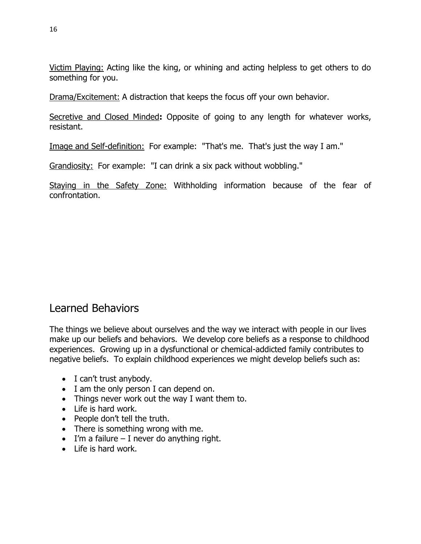Victim Playing: Acting like the king, or whining and acting helpless to get others to do something for you.

Drama/Excitement: A distraction that keeps the focus off your own behavior.

Secretive and Closed Minded**:** Opposite of going to any length for whatever works, resistant.

Image and Self-definition:For example: "That's me. That's just the way I am."

Grandiosity:For example: "I can drink a six pack without wobbling."

Staying in the Safety Zone: Withholding information because of the fear of confrontation.

## Learned Behaviors

The things we believe about ourselves and the way we interact with people in our lives make up our beliefs and behaviors. We develop core beliefs as a response to childhood experiences. Growing up in a dysfunctional or chemical-addicted family contributes to negative beliefs. To explain childhood experiences we might develop beliefs such as:

- I can't trust anybody.
- I am the only person I can depend on.
- Things never work out the way I want them to.
- Life is hard work.
- People don't tell the truth.
- There is something wrong with me.
- $\bullet$  I'm a failure I never do anything right.
- Life is hard work.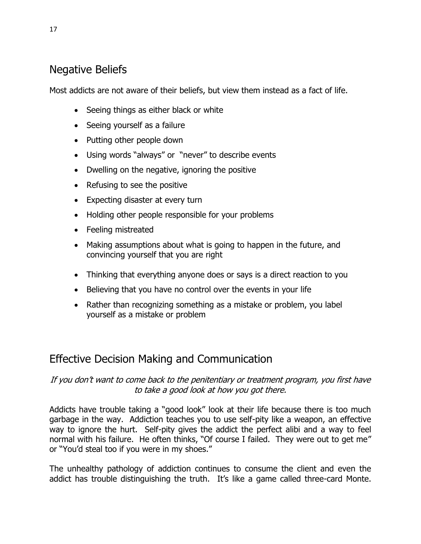## Negative Beliefs

Most addicts are not aware of their beliefs, but view them instead as a fact of life.

- Seeing things as either black or white
- Seeing yourself as a failure
- Putting other people down
- Using words "always" or "never" to describe events
- Dwelling on the negative, ignoring the positive
- Refusing to see the positive
- Expecting disaster at every turn
- Holding other people responsible for your problems
- Feeling mistreated
- Making assumptions about what is going to happen in the future, and convincing yourself that you are right
- Thinking that everything anyone does or says is a direct reaction to you
- Believing that you have no control over the events in your life
- Rather than recognizing something as a mistake or problem, you label yourself as a mistake or problem

# Effective Decision Making and Communication

#### If you don't want to come back to the penitentiary or treatment program, you first have to take a good look at how you got there.

Addicts have trouble taking a "good look" look at their life because there is too much garbage in the way. Addiction teaches you to use self-pity like a weapon, an effective way to ignore the hurt. Self-pity gives the addict the perfect alibi and a way to feel normal with his failure. He often thinks, "Of course I failed. They were out to get me" or "You'd steal too if you were in my shoes."

The unhealthy pathology of addiction continues to consume the client and even the addict has trouble distinguishing the truth. It's like a game called three-card Monte.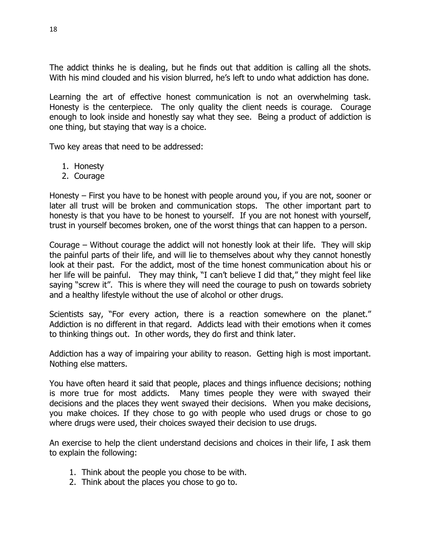The addict thinks he is dealing, but he finds out that addition is calling all the shots. With his mind clouded and his vision blurred, he's left to undo what addiction has done.

Learning the art of effective honest communication is not an overwhelming task. Honesty is the centerpiece. The only quality the client needs is courage. Courage enough to look inside and honestly say what they see. Being a product of addiction is one thing, but staying that way is a choice.

Two key areas that need to be addressed:

- 1. Honesty
- 2. Courage

Honesty – First you have to be honest with people around you, if you are not, sooner or later all trust will be broken and communication stops. The other important part to honesty is that you have to be honest to yourself. If you are not honest with yourself, trust in yourself becomes broken, one of the worst things that can happen to a person.

Courage – Without courage the addict will not honestly look at their life. They will skip the painful parts of their life, and will lie to themselves about why they cannot honestly look at their past. For the addict, most of the time honest communication about his or her life will be painful. They may think, "I can't believe I did that," they might feel like saying "screw it". This is where they will need the courage to push on towards sobriety and a healthy lifestyle without the use of alcohol or other drugs.

Scientists say, "For every action, there is a reaction somewhere on the planet." Addiction is no different in that regard. Addicts lead with their emotions when it comes to thinking things out. In other words, they do first and think later.

Addiction has a way of impairing your ability to reason. Getting high is most important. Nothing else matters.

You have often heard it said that people, places and things influence decisions; nothing is more true for most addicts. Many times people they were with swayed their decisions and the places they went swayed their decisions. When you make decisions, you make choices. If they chose to go with people who used drugs or chose to go where drugs were used, their choices swayed their decision to use drugs.

An exercise to help the client understand decisions and choices in their life, I ask them to explain the following:

- 1. Think about the people you chose to be with.
- 2. Think about the places you chose to go to.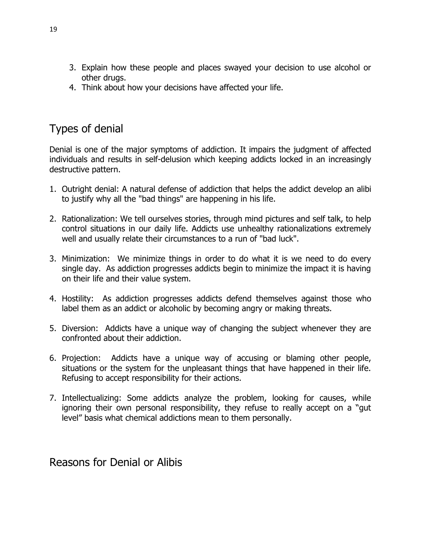- 3. Explain how these people and places swayed your decision to use alcohol or other drugs.
- 4. Think about how your decisions have affected your life.

## Types of denial

Denial is one of the major symptoms of addiction. It impairs the judgment of affected individuals and results in self-delusion which keeping addicts locked in an increasingly destructive pattern.

- 1. Outright denial: A natural defense of addiction that helps the addict develop an alibi to justify why all the "bad things" are happening in his life.
- 2. Rationalization: We tell ourselves stories, through mind pictures and self talk, to help control situations in our daily life. Addicts use unhealthy rationalizations extremely well and usually relate their circumstances to a run of "bad luck".
- 3. Minimization: We minimize things in order to do what it is we need to do every single day. As addiction progresses addicts begin to minimize the impact it is having on their life and their value system.
- 4. Hostility: As addiction progresses addicts defend themselves against those who label them as an addict or alcoholic by becoming angry or making threats.
- 5. Diversion: Addicts have a unique way of changing the subject whenever they are confronted about their addiction.
- 6. Projection: Addicts have a unique way of accusing or blaming other people, situations or the system for the unpleasant things that have happened in their life. Refusing to accept responsibility for their actions.
- 7. Intellectualizing: Some addicts analyze the problem, looking for causes, while ignoring their own personal responsibility, they refuse to really accept on a "gut level" basis what chemical addictions mean to them personally.

Reasons for Denial or Alibis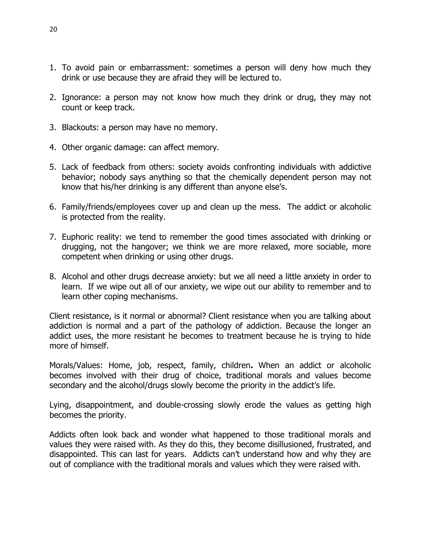- 1. To avoid pain or embarrassment: sometimes a person will deny how much they drink or use because they are afraid they will be lectured to.
- 2. Ignorance: a person may not know how much they drink or drug, they may not count or keep track.
- 3. Blackouts: a person may have no memory.
- 4. Other organic damage: can affect memory.
- 5. Lack of feedback from others: society avoids confronting individuals with addictive behavior; nobody says anything so that the chemically dependent person may not know that his/her drinking is any different than anyone else's.
- 6. Family/friends/employees cover up and clean up the mess. The addict or alcoholic is protected from the reality.
- 7. Euphoric reality: we tend to remember the good times associated with drinking or drugging, not the hangover; we think we are more relaxed, more sociable, more competent when drinking or using other drugs.
- 8. Alcohol and other drugs decrease anxiety: but we all need a little anxiety in order to learn. If we wipe out all of our anxiety, we wipe out our ability to remember and to learn other coping mechanisms.

Client resistance, is it normal or abnormal? Client resistance when you are talking about addiction is normal and a part of the pathology of addiction. Because the longer an addict uses, the more resistant he becomes to treatment because he is trying to hide more of himself.

Morals/Values: Home, job, respect, family, children**.** When an addict or alcoholic becomes involved with their drug of choice, traditional morals and values become secondary and the alcohol/drugs slowly become the priority in the addict's life.

Lying, disappointment, and double-crossing slowly erode the values as getting high becomes the priority.

Addicts often look back and wonder what happened to those traditional morals and values they were raised with. As they do this, they become disillusioned, frustrated, and disappointed. This can last for years. Addicts can't understand how and why they are out of compliance with the traditional morals and values which they were raised with.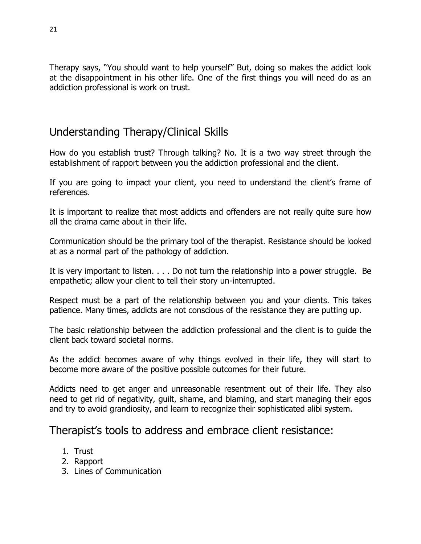Therapy says, "You should want to help yourself" But, doing so makes the addict look at the disappointment in his other life. One of the first things you will need do as an addiction professional is work on trust.

## Understanding Therapy/Clinical Skills

How do you establish trust? Through talking? No. It is a two way street through the establishment of rapport between you the addiction professional and the client.

If you are going to impact your client, you need to understand the client's frame of references.

It is important to realize that most addicts and offenders are not really quite sure how all the drama came about in their life.

Communication should be the primary tool of the therapist. Resistance should be looked at as a normal part of the pathology of addiction.

It is very important to listen. . . . Do not turn the relationship into a power struggle. Be empathetic; allow your client to tell their story un-interrupted.

Respect must be a part of the relationship between you and your clients. This takes patience. Many times, addicts are not conscious of the resistance they are putting up.

The basic relationship between the addiction professional and the client is to guide the client back toward societal norms.

As the addict becomes aware of why things evolved in their life, they will start to become more aware of the positive possible outcomes for their future.

Addicts need to get anger and unreasonable resentment out of their life. They also need to get rid of negativity, guilt, shame, and blaming, and start managing their egos and try to avoid grandiosity, and learn to recognize their sophisticated alibi system.

## Therapist's tools to address and embrace client resistance:

- 1. Trust
- 2. Rapport
- 3. Lines of Communication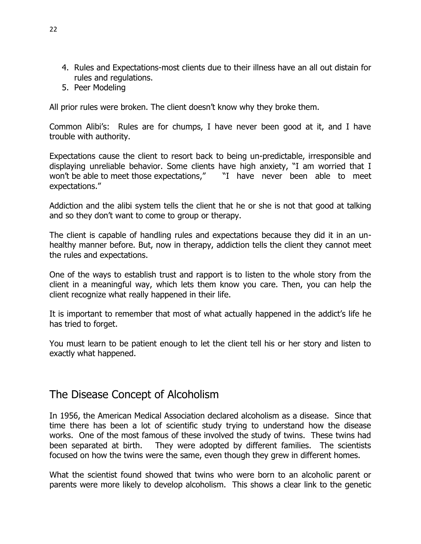- 4. Rules and Expectations-most clients due to their illness have an all out distain for rules and regulations.
- 5. Peer Modeling

All prior rules were broken. The client doesn't know why they broke them.

Common Alibi's: Rules are for chumps, I have never been good at it, and I have trouble with authority.

Expectations cause the client to resort back to being un-predictable, irresponsible and displaying unreliable behavior. Some clients have high anxiety, "I am worried that I won't be able to meet those expectations," Thave never been able to meet expectations."

Addiction and the alibi system tells the client that he or she is not that good at talking and so they don't want to come to group or therapy.

The client is capable of handling rules and expectations because they did it in an unhealthy manner before. But, now in therapy, addiction tells the client they cannot meet the rules and expectations.

One of the ways to establish trust and rapport is to listen to the whole story from the client in a meaningful way, which lets them know you care. Then, you can help the client recognize what really happened in their life.

It is important to remember that most of what actually happened in the addict's life he has tried to forget.

You must learn to be patient enough to let the client tell his or her story and listen to exactly what happened.

## The Disease Concept of Alcoholism

In 1956, the American Medical Association declared alcoholism as a disease. Since that time there has been a lot of scientific study trying to understand how the disease works. One of the most famous of these involved the study of twins. These twins had been separated at birth. They were adopted by different families. The scientists focused on how the twins were the same, even though they grew in different homes.

What the scientist found showed that twins who were born to an alcoholic parent or parents were more likely to develop alcoholism. This shows a clear link to the genetic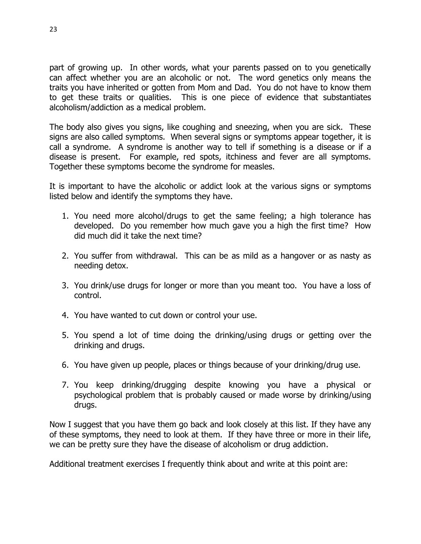part of growing up. In other words, what your parents passed on to you genetically can affect whether you are an alcoholic or not. The word genetics only means the traits you have inherited or gotten from Mom and Dad. You do not have to know them to get these traits or qualities. This is one piece of evidence that substantiates alcoholism/addiction as a medical problem.

The body also gives you signs, like coughing and sneezing, when you are sick. These signs are also called symptoms. When several signs or symptoms appear together, it is call a syndrome. A syndrome is another way to tell if something is a disease or if a disease is present. For example, red spots, itchiness and fever are all symptoms. Together these symptoms become the syndrome for measles.

It is important to have the alcoholic or addict look at the various signs or symptoms listed below and identify the symptoms they have.

- 1. You need more alcohol/drugs to get the same feeling; a high tolerance has developed. Do you remember how much gave you a high the first time? How did much did it take the next time?
- 2. You suffer from withdrawal. This can be as mild as a hangover or as nasty as needing detox.
- 3. You drink/use drugs for longer or more than you meant too. You have a loss of control.
- 4. You have wanted to cut down or control your use.
- 5. You spend a lot of time doing the drinking/using drugs or getting over the drinking and drugs.
- 6. You have given up people, places or things because of your drinking/drug use.
- 7. You keep drinking/drugging despite knowing you have a physical or psychological problem that is probably caused or made worse by drinking/using drugs.

Now I suggest that you have them go back and look closely at this list. If they have any of these symptoms, they need to look at them. If they have three or more in their life, we can be pretty sure they have the disease of alcoholism or drug addiction.

Additional treatment exercises I frequently think about and write at this point are: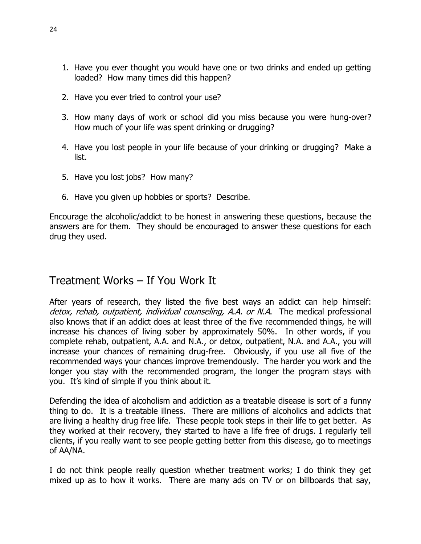- 1. Have you ever thought you would have one or two drinks and ended up getting loaded? How many times did this happen?
- 2. Have you ever tried to control your use?
- 3. How many days of work or school did you miss because you were hung-over? How much of your life was spent drinking or drugging?
- 4. Have you lost people in your life because of your drinking or drugging? Make a list.
- 5. Have you lost jobs? How many?
- 6. Have you given up hobbies or sports? Describe.

Encourage the alcoholic/addict to be honest in answering these questions, because the answers are for them. They should be encouraged to answer these questions for each drug they used.

## Treatment Works – If You Work It

After years of research, they listed the five best ways an addict can help himself: detox, rehab, outpatient, individual counseling, A.A. or N.A. The medical professional also knows that if an addict does at least three of the five recommended things, he will increase his chances of living sober by approximately 50%. In other words, if you complete rehab, outpatient, A.A. and N.A., or detox, outpatient, N.A. and A.A., you will increase your chances of remaining drug-free. Obviously, if you use all five of the recommended ways your chances improve tremendously. The harder you work and the longer you stay with the recommended program, the longer the program stays with you. It's kind of simple if you think about it.

Defending the idea of alcoholism and addiction as a treatable disease is sort of a funny thing to do. It is a treatable illness. There are millions of alcoholics and addicts that are living a healthy drug free life. These people took steps in their life to get better. As they worked at their recovery, they started to have a life free of drugs. I regularly tell clients, if you really want to see people getting better from this disease, go to meetings of AA/NA.

I do not think people really question whether treatment works; I do think they get mixed up as to how it works. There are many ads on TV or on billboards that say,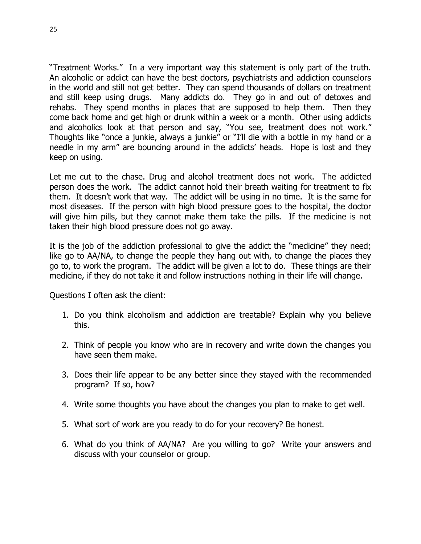"Treatment Works." In a very important way this statement is only part of the truth. An alcoholic or addict can have the best doctors, psychiatrists and addiction counselors in the world and still not get better. They can spend thousands of dollars on treatment and still keep using drugs. Many addicts do. They go in and out of detoxes and rehabs. They spend months in places that are supposed to help them. Then they come back home and get high or drunk within a week or a month. Other using addicts and alcoholics look at that person and say, "You see, treatment does not work." Thoughts like "once a junkie, always a junkie" or "I'll die with a bottle in my hand or a needle in my arm" are bouncing around in the addicts' heads. Hope is lost and they keep on using.

Let me cut to the chase. Drug and alcohol treatment does not work. The addicted person does the work. The addict cannot hold their breath waiting for treatment to fix them. It doesn't work that way. The addict will be using in no time. It is the same for most diseases. If the person with high blood pressure goes to the hospital, the doctor will give him pills, but they cannot make them take the pills. If the medicine is not taken their high blood pressure does not go away.

It is the job of the addiction professional to give the addict the "medicine" they need; like go to AA/NA, to change the people they hang out with, to change the places they go to, to work the program. The addict will be given a lot to do. These things are their medicine, if they do not take it and follow instructions nothing in their life will change.

Questions I often ask the client:

- 1. Do you think alcoholism and addiction are treatable? Explain why you believe this.
- 2. Think of people you know who are in recovery and write down the changes you have seen them make.
- 3. Does their life appear to be any better since they stayed with the recommended program? If so, how?
- 4. Write some thoughts you have about the changes you plan to make to get well.
- 5. What sort of work are you ready to do for your recovery? Be honest.
- 6. What do you think of AA/NA? Are you willing to go? Write your answers and discuss with your counselor or group.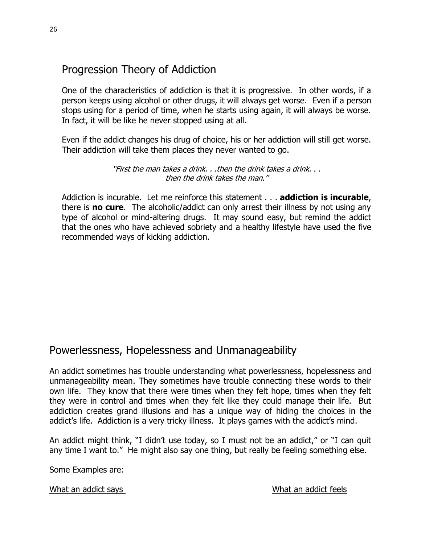## Progression Theory of Addiction

One of the characteristics of addiction is that it is progressive. In other words, if a person keeps using alcohol or other drugs, it will always get worse. Even if a person stops using for a period of time, when he starts using again, it will always be worse. In fact, it will be like he never stopped using at all.

Even if the addict changes his drug of choice, his or her addiction will still get worse. Their addiction will take them places they never wanted to go.

> "First the man takes a drink. . .then the drink takes a drink. . . then the drink takes the man."

Addiction is incurable. Let me reinforce this statement . . . **addiction is incurable**, there is **no cure**. The alcoholic/addict can only arrest their illness by not using any type of alcohol or mind-altering drugs. It may sound easy, but remind the addict that the ones who have achieved sobriety and a healthy lifestyle have used the five recommended ways of kicking addiction.

## Powerlessness, Hopelessness and Unmanageability

An addict sometimes has trouble understanding what powerlessness, hopelessness and unmanageability mean. They sometimes have trouble connecting these words to their own life. They know that there were times when they felt hope, times when they felt they were in control and times when they felt like they could manage their life. But addiction creates grand illusions and has a unique way of hiding the choices in the addict's life. Addiction is a very tricky illness. It plays games with the addict's mind.

An addict might think, "I didn't use today, so I must not be an addict," or "I can quit any time I want to." He might also say one thing, but really be feeling something else.

Some Examples are:

What an addict says What an addict feels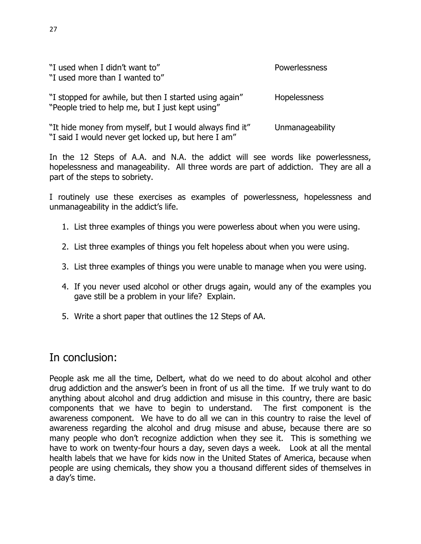| "I used when I didn't want to"<br>"I used more than I wanted to"                                               | Powerlessness   |
|----------------------------------------------------------------------------------------------------------------|-----------------|
| "I stopped for awhile, but then I started using again"<br>"People tried to help me, but I just kept using"     | Hopelessness    |
| "It hide money from myself, but I would always find it"<br>"I said I would never get locked up, but here I am" | Unmanageability |

In the 12 Steps of A.A. and N.A. the addict will see words like powerlessness, hopelessness and manageability. All three words are part of addiction. They are all a part of the steps to sobriety.

I routinely use these exercises as examples of powerlessness, hopelessness and unmanageability in the addict's life.

- 1. List three examples of things you were powerless about when you were using.
- 2. List three examples of things you felt hopeless about when you were using.
- 3. List three examples of things you were unable to manage when you were using.
- 4. If you never used alcohol or other drugs again, would any of the examples you gave still be a problem in your life? Explain.
- 5. Write a short paper that outlines the 12 Steps of AA.

## In conclusion:

People ask me all the time, Delbert, what do we need to do about alcohol and other drug addiction and the answer's been in front of us all the time. If we truly want to do anything about alcohol and drug addiction and misuse in this country, there are basic components that we have to begin to understand. The first component is the awareness component. We have to do all we can in this country to raise the level of awareness regarding the alcohol and drug misuse and abuse, because there are so many people who don't recognize addiction when they see it. This is something we have to work on twenty-four hours a day, seven days a week. Look at all the mental health labels that we have for kids now in the United States of America, because when people are using chemicals, they show you a thousand different sides of themselves in a day's time.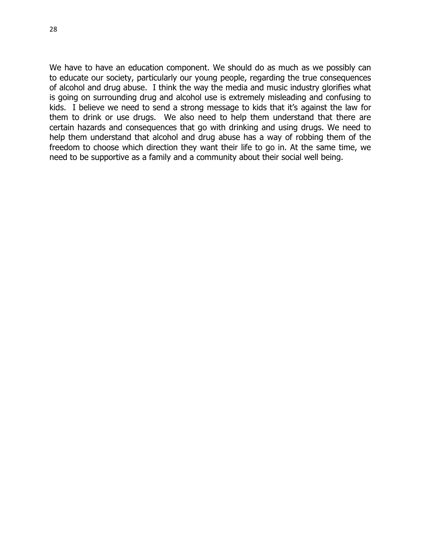28

We have to have an education component. We should do as much as we possibly can to educate our society, particularly our young people, regarding the true consequences of alcohol and drug abuse. I think the way the media and music industry glorifies what is going on surrounding drug and alcohol use is extremely misleading and confusing to kids. I believe we need to send a strong message to kids that it's against the law for them to drink or use drugs. We also need to help them understand that there are certain hazards and consequences that go with drinking and using drugs. We need to help them understand that alcohol and drug abuse has a way of robbing them of the freedom to choose which direction they want their life to go in. At the same time, we need to be supportive as a family and a community about their social well being.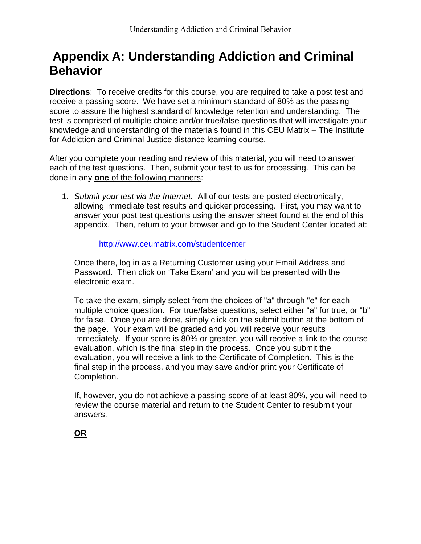# **Appendix A: Understanding Addiction and Criminal Behavior**

**Directions**: To receive credits for this course, you are required to take a post test and receive a passing score. We have set a minimum standard of 80% as the passing score to assure the highest standard of knowledge retention and understanding. The test is comprised of multiple choice and/or true/false questions that will investigate your knowledge and understanding of the materials found in this CEU Matrix – The Institute for Addiction and Criminal Justice distance learning course.

After you complete your reading and review of this material, you will need to answer each of the test questions. Then, submit your test to us for processing. This can be done in any **one** of the following manners:

1. *Submit your test via the Internet.* All of our tests are posted electronically, allowing immediate test results and quicker processing. First, you may want to answer your post test questions using the answer sheet found at the end of this appendix. Then, return to your browser and go to the Student Center located at:

<http://www.ceumatrix.com/studentcenter>

Once there, log in as a Returning Customer using your Email Address and Password. Then click on 'Take Exam' and you will be presented with the electronic exam.

To take the exam, simply select from the choices of "a" through "e" for each multiple choice question. For true/false questions, select either "a" for true, or "b" for false. Once you are done, simply click on the submit button at the bottom of the page. Your exam will be graded and you will receive your results immediately. If your score is 80% or greater, you will receive a link to the course evaluation, which is the final step in the process. Once you submit the evaluation, you will receive a link to the Certificate of Completion. This is the final step in the process, and you may save and/or print your Certificate of Completion.

If, however, you do not achieve a passing score of at least 80%, you will need to review the course material and return to the Student Center to resubmit your answers.

**OR**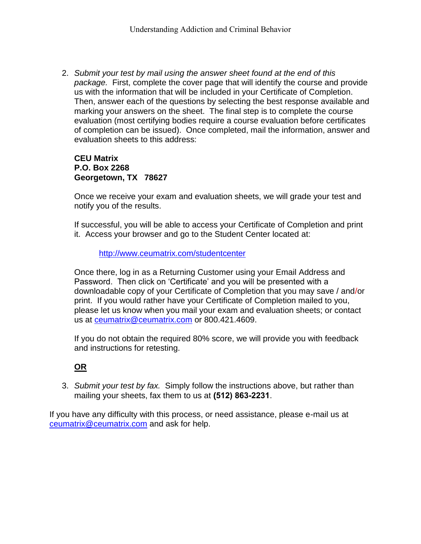2. *Submit your test by mail using the answer sheet found at the end of this package.* First, complete the cover page that will identify the course and provide us with the information that will be included in your Certificate of Completion. Then, answer each of the questions by selecting the best response available and marking your answers on the sheet. The final step is to complete the course evaluation (most certifying bodies require a course evaluation before certificates of completion can be issued). Once completed, mail the information, answer and evaluation sheets to this address:

#### **CEU Matrix P.O. Box 2268 Georgetown, TX 78627**

Once we receive your exam and evaluation sheets, we will grade your test and notify you of the results.

If successful, you will be able to access your Certificate of Completion and print it. Access your browser and go to the Student Center located at:

#### <http://www.ceumatrix.com/studentcenter>

Once there, log in as a Returning Customer using your Email Address and Password. Then click on 'Certificate' and you will be presented with a downloadable copy of your Certificate of Completion that you may save / and/or print. If you would rather have your Certificate of Completion mailed to you, please let us know when you mail your exam and evaluation sheets; or contact us at **ceumatrix@ceumatrix.com** or 800.421.4609.

If you do not obtain the required 80% score, we will provide you with feedback and instructions for retesting.

### **OR**

3. *Submit your test by fax.* Simply follow the instructions above, but rather than mailing your sheets, fax them to us at **(512) 863-2231**.

If you have any difficulty with this process, or need assistance, please e-mail us at [ceumatrix@ceumatrix.com](mailto:ceumatrix@ceumatrix.com) and ask for help.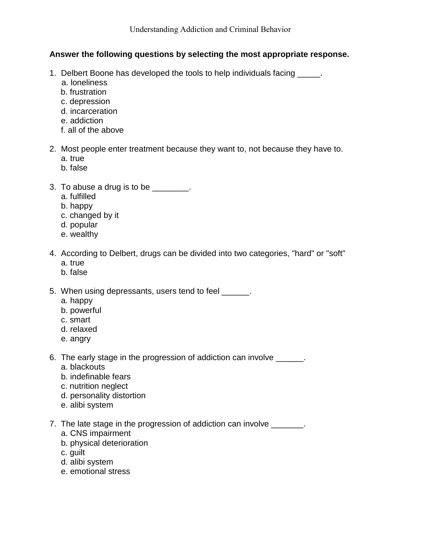#### **Answer the following questions by selecting the most appropriate response.**

- 1. Delbert Boone has developed the tools to help individuals facing \_\_\_\_\_\_.
	- a. loneliness
	- b. frustration
	- c. depression
	- d. incarceration
	- e. addiction
	- f. all of the above
- 2. Most people enter treatment because they want to, not because they have to.
	- a. true
	- b. false
- 3. To abuse a drug is to be \_\_\_\_\_\_\_.
	- a. fulfilled
	- b. happy
	- c. changed by it
	- d. popular
	- e. wealthy
- 4. According to Delbert, drugs can be divided into two categories, "hard" or "soft" a. true
	- b. false
- 5. When using depressants, users tend to feel
	- a. happy
	- b. powerful
	- c. smart
	- d. relaxed
	- e. angry
- 6. The early stage in the progression of addiction can involve \_\_\_\_\_\_.
	- a. blackouts
	- b. indefinable fears
	- c. nutrition neglect
	- d. personality distortion
	- e. alibi system
- 7. The late stage in the progression of addiction can involve
	- a. CNS impairment
	- b. physical deterioration
	- c. guilt
	- d. alibi system
	- e. emotional stress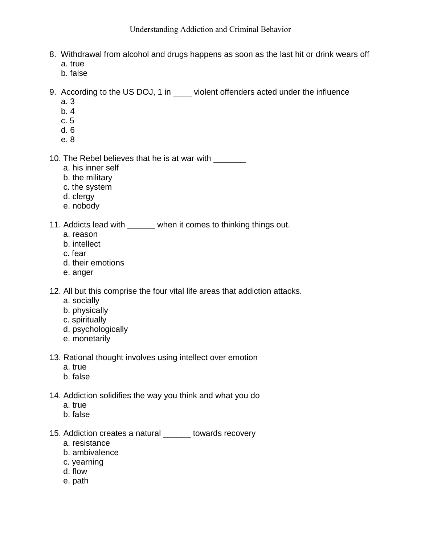- 8. Withdrawal from alcohol and drugs happens as soon as the last hit or drink wears off a. true
	- b. false
- 9. According to the US DOJ, 1 in \_\_\_\_ violent offenders acted under the influence
	- a. 3
	- b. 4
	- c. 5
	- d. 6
	- e. 8

10. The Rebel believes that he is at war with \_\_\_\_\_\_\_

- a. his inner self
- b. the military
- c. the system
- d. clergy
- e. nobody
- 11. Addicts lead with \_\_\_\_\_\_ when it comes to thinking things out.
	- a. reason
	- b. intellect
	- c. fear
	- d. their emotions
	- e. anger

12. All but this comprise the four vital life areas that addiction attacks.

- a. socially
- b. physically
- c. spiritually
- d, psychologically
- e. monetarily
- 13. Rational thought involves using intellect over emotion
	- a. true
	- b. false
- 14. Addiction solidifies the way you think and what you do
	- a. true
	- b. false

15. Addiction creates a natural \_\_\_\_\_\_ towards recovery

- a. resistance
- b. ambivalence
- c. yearning
- d. flow
- e. path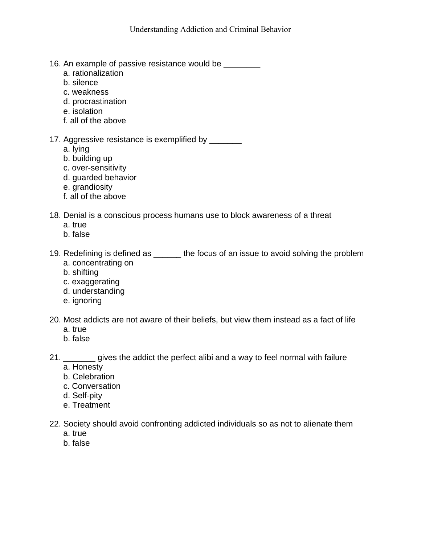- 16. An example of passive resistance would be \_\_\_\_\_\_\_\_
	- a. rationalization
	- b. silence
	- c. weakness
	- d. procrastination
	- e. isolation
	- f. all of the above

17. Aggressive resistance is exemplified by \_\_\_\_\_\_\_\_

- a. lying
- b. building up
- c. over-sensitivity
- d. guarded behavior
- e. grandiosity
- f. all of the above
- 18. Denial is a conscious process humans use to block awareness of a threat
	- a. true
	- b. false
- 19. Redefining is defined as the focus of an issue to avoid solving the problem a. concentrating on
	-
	- b. shifting
	- c. exaggerating
	- d. understanding
	- e. ignoring
- 20. Most addicts are not aware of their beliefs, but view them instead as a fact of life
	- a. true
	- b. false
- 21. \_\_\_\_\_\_\_ gives the addict the perfect alibi and a way to feel normal with failure
	- a. Honesty
	- b. Celebration
	- c. Conversation
	- d. Self-pity
	- e. Treatment
- 22. Society should avoid confronting addicted individuals so as not to alienate them
	- a. true
	- b. false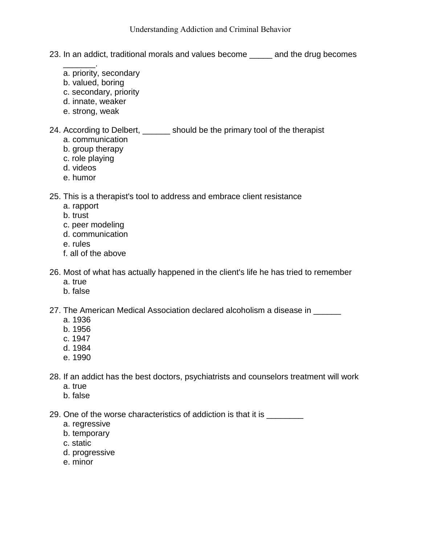- 23. In an addict, traditional morals and values become \_\_\_\_\_ and the drug becomes
- $\overline{\phantom{a}}$  . The contract of  $\overline{\phantom{a}}$  a. priority, secondary
	- b. valued, boring
	- c. secondary, priority
	- d. innate, weaker
	- e. strong, weak
- 24. According to Delbert, \_\_\_\_\_\_ should be the primary tool of the therapist
	- a. communication
	- b. group therapy
	- c. role playing
	- d. videos
	- e. humor

25. This is a therapist's tool to address and embrace client resistance

- a. rapport
- b. trust
- c. peer modeling
- d. communication
- e. rules
- f. all of the above
- 26. Most of what has actually happened in the client's life he has tried to remember
	- a. true
	- b. false
- 27. The American Medical Association declared alcoholism a disease in \_\_\_\_\_\_
	- a. 1936
	- b. 1956
	- c. 1947
	- d. 1984
	- e. 1990
- 28. If an addict has the best doctors, psychiatrists and counselors treatment will work
	- a. true
	- b. false

29. One of the worse characteristics of addiction is that it is \_\_\_\_\_\_\_\_\_

- a. regressive
- b. temporary
- c. static
- d. progressive
- e. minor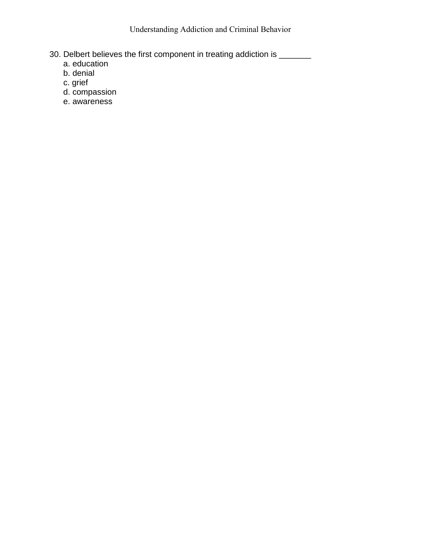Understanding Addiction and Criminal Behavior

- 30. Delbert believes the first component in treating addiction is \_\_\_\_\_\_\_
	- a. education
	- b. denial
	- c. grief
	- d. compassion
	- e. awareness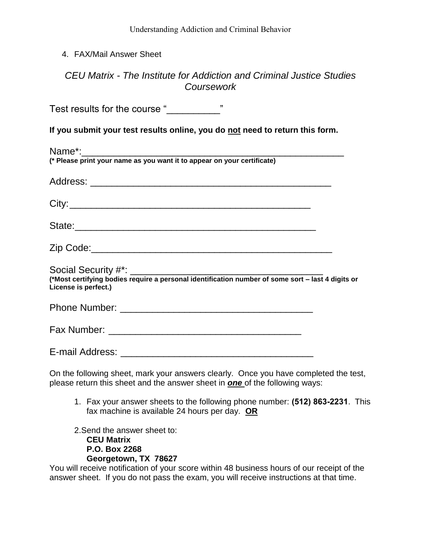#### 4. FAX/Mail Answer Sheet

## *CEU Matrix - The Institute for Addiction and Criminal Justice Studies Coursework*

Test results for the course "\_\_\_\_\_\_\_\_\_\_"

**If you submit your test results online, you do not need to return this form.**

| (* Please print your name as you want it to appear on your certificate) |  |
|-------------------------------------------------------------------------|--|
|                                                                         |  |
|                                                                         |  |
|                                                                         |  |
|                                                                         |  |
|                                                                         |  |
| License is perfect.)                                                    |  |
|                                                                         |  |
|                                                                         |  |
|                                                                         |  |

On the following sheet, mark your answers clearly. Once you have completed the test, please return this sheet and the answer sheet in *one* of the following ways:

1. Fax your answer sheets to the following phone number: **(512) 863-2231**. This fax machine is available 24 hours per day. **OR**

2.Send the answer sheet to: **CEU Matrix P.O. Box 2268 Georgetown, TX 78627**

You will receive notification of your score within 48 business hours of our receipt of the answer sheet. If you do not pass the exam, you will receive instructions at that time.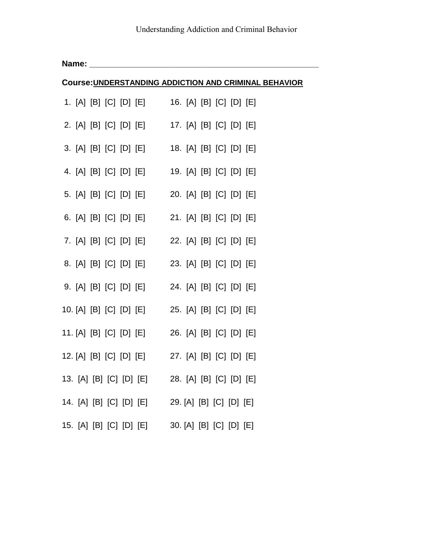|                                                              | Name: |  |  |  |                                                 |  |  |  |
|--------------------------------------------------------------|-------|--|--|--|-------------------------------------------------|--|--|--|
| <b>Course: UNDERSTANDING ADDICTION AND CRIMINAL BEHAVIOR</b> |       |  |  |  |                                                 |  |  |  |
|                                                              |       |  |  |  | 1. [A] [B] [C] [D] [E] 16. [A] [B] [C] [D] [E]  |  |  |  |
|                                                              |       |  |  |  | 2. [A] [B] [C] [D] [E] 17. [A] [B] [C] [D] [E]  |  |  |  |
|                                                              |       |  |  |  | 3. [A] [B] [C] [D] [E] 18. [A] [B] [C] [D] [E]  |  |  |  |
|                                                              |       |  |  |  | 4. [A] [B] [C] [D] [E] 19. [A] [B] [C] [D] [E]  |  |  |  |
|                                                              |       |  |  |  | 5. [A] [B] [C] [D] [E] 20. [A] [B] [C] [D] [E]  |  |  |  |
|                                                              |       |  |  |  | 6. [A] [B] [C] [D] [E] 21. [A] [B] [C] [D] [E]  |  |  |  |
|                                                              |       |  |  |  | 7. [A] [B] [C] [D] [E] 22. [A] [B] [C] [D] [E]  |  |  |  |
|                                                              |       |  |  |  | 8. [A] [B] [C] [D] [E] 23. [A] [B] [C] [D] [E]  |  |  |  |
|                                                              |       |  |  |  | 9. [A] [B] [C] [D] [E] 24. [A] [B] [C] [D] [E]  |  |  |  |
|                                                              |       |  |  |  | 10. [A] [B] [C] [D] [E] 25. [A] [B] [C] [D] [E] |  |  |  |
|                                                              |       |  |  |  | 11. [A] [B] [C] [D] [E] 26. [A] [B] [C] [D] [E] |  |  |  |
|                                                              |       |  |  |  | 12. [A] [B] [C] [D] [E] 27. [A] [B] [C] [D] [E] |  |  |  |
|                                                              |       |  |  |  | 13. [A] [B] [C] [D] [E] 28. [A] [B] [C] [D] [E] |  |  |  |
|                                                              |       |  |  |  | 14. [A] [B] [C] [D] [E] 29. [A] [B] [C] [D] [E] |  |  |  |
|                                                              |       |  |  |  | 15. [A] [B] [C] [D] [E] 30. [A] [B] [C] [D] [E] |  |  |  |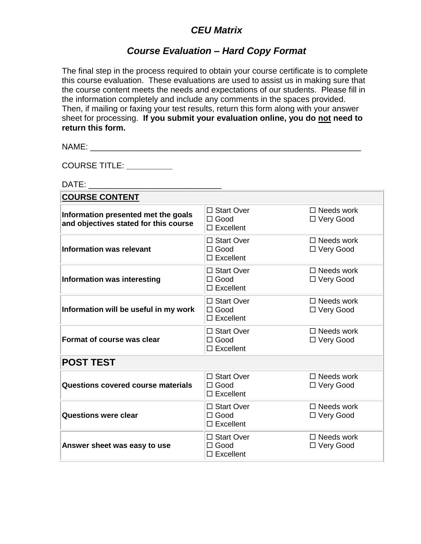## *CEU Matrix*

## *Course Evaluation – Hard Copy Format*

The final step in the process required to obtain your course certificate is to complete this course evaluation. These evaluations are used to assist us in making sure that the course content meets the needs and expectations of our students. Please fill in the information completely and include any comments in the spaces provided. Then, if mailing or faxing your test results, return this form along with your answer sheet for processing. **If you submit your evaluation online, you do not need to return this form.**

NAME: \_\_\_\_\_\_\_\_\_\_\_\_\_\_\_\_\_\_\_\_\_\_\_\_\_\_\_\_\_\_\_\_\_\_\_\_\_\_\_\_\_\_\_\_\_\_\_\_\_\_\_\_\_\_\_\_\_\_\_

COURSE TITLE: **\_\_\_\_\_\_\_\_\_\_**

DATE: \_\_\_\_\_\_\_\_\_\_\_\_\_\_\_\_\_\_\_\_\_\_\_\_\_\_\_\_\_

| <b>COURSE CONTENT</b>                                                        |                                                 |                                  |  |  |  |  |
|------------------------------------------------------------------------------|-------------------------------------------------|----------------------------------|--|--|--|--|
| Information presented met the goals<br>and objectives stated for this course | □ Start Over<br>$\Box$ Good<br>$\Box$ Excellent | $\Box$ Needs work<br>□ Very Good |  |  |  |  |
| <b>Information was relevant</b>                                              | □ Start Over<br>$\Box$ Good<br>$\Box$ Excellent | $\Box$ Needs work<br>□ Very Good |  |  |  |  |
| Information was interesting                                                  | □ Start Over<br>$\Box$ Good<br>$\Box$ Excellent | $\Box$ Needs work<br>□ Very Good |  |  |  |  |
| Information will be useful in my work                                        | □ Start Over<br>$\Box$ Good<br>$\Box$ Excellent | $\Box$ Needs work<br>□ Very Good |  |  |  |  |
| Format of course was clear                                                   | □ Start Over<br>$\Box$ Good<br>$\Box$ Excellent | $\Box$ Needs work<br>□ Very Good |  |  |  |  |
| <b>POST TEST</b>                                                             |                                                 |                                  |  |  |  |  |
| Questions covered course materials                                           | □ Start Over<br>$\Box$ Good<br>$\Box$ Excellent | $\Box$ Needs work<br>□ Very Good |  |  |  |  |
| <b>Questions were clear</b>                                                  | □ Start Over<br>$\Box$ Good<br>$\Box$ Excellent | $\Box$ Needs work<br>□ Very Good |  |  |  |  |
| Answer sheet was easy to use                                                 | □ Start Over<br>$\Box$ Good<br>$\Box$ Excellent | $\Box$ Needs work<br>□ Very Good |  |  |  |  |